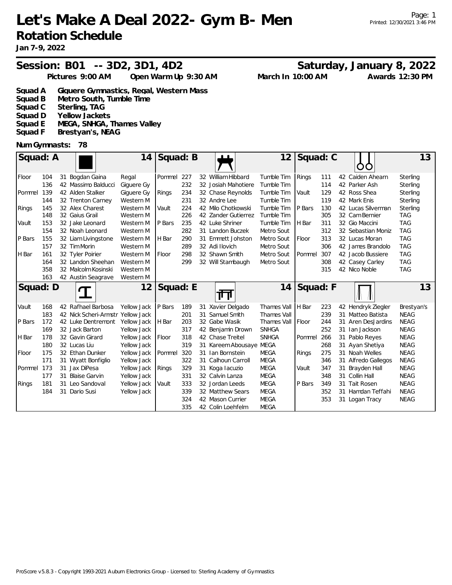# **Let's Make A Deal 2022- Gym B- Men Rotation Schedule**

## Session: B01 -- 3D2, 3D1, 4D2 Saturday, January 8, 2022

| Pictures 9:00 AM | Open Warm Up 9:30 AM | March In 10:00 AM | Awards 12:30 PM |
|------------------|----------------------|-------------------|-----------------|
|                  |                      |                   |                 |

Page: 1

Printed: 12/30/2021 3:46 PM

| Squad A<br>Giguere Gymnastics, Regal, Western Mass |  |  |
|----------------------------------------------------|--|--|
|----------------------------------------------------|--|--|

- **Squad B Metro South, Tumble Time**
- **Squad C Sterling, TAG**
- **Squad D Yellow Jackets**
- **Squad E MEGA, SNHGA, Thames Valley**
- **Squad F Brestyan's, NEAG**

### **Num Gymnasts: 78**

| Squad: A<br>14 |     |  |                                   | Squad: B    |          |     | டட | 12                  | Squad: C     |          |     |    | 13                     |             |
|----------------|-----|--|-----------------------------------|-------------|----------|-----|----|---------------------|--------------|----------|-----|----|------------------------|-------------|
| Floor          | 104 |  | 31 Bogdan Gaina                   | Regal       | Pommel   | 227 |    | 32 William Hibbard  | Tumble Tim   | Rings    | 111 |    | 42 Caiden Ahearn       | Sterling    |
|                | 136 |  | 42 Massimo Balducci               | Giguere Gy  |          | 232 |    | 32 Josiah Mahotiere | Tumble Tim   |          | 114 |    | 42 Parker Ash          | Sterling    |
| Pommel         | 139 |  | 42 Alden Stalker                  | Giguere Gy  | Rings    | 234 |    | 32 Chase Reynolds   | Tumble Tim   | Vault    | 129 |    | 42 Ross Shea           | Sterling    |
|                | 144 |  | 32 Trenton Carney                 | Western M   |          | 231 |    | 32 Andre Lee        | Tumble Tim   |          | 119 |    | 42 Mark Enis           | Sterling    |
| Rings          | 145 |  | 32 Alex Charest                   | Western M   | Vault    | 224 |    | 42 Milo Chotkowski  | Tumble Tim   | P Bars   | 130 |    | 42 Lucas Silverman     | Sterling    |
|                | 148 |  | 32 Gaius Grail                    | Western M   |          | 226 |    | 42 Zander Gutierrez | Tumble Tim   |          | 305 |    | 32 Cam Bernier         | <b>TAG</b>  |
| Vault          | 153 |  | 32 Jake Leonard                   | Western M   | P Bars   | 235 |    | 42 Luke Shriner     | Tumble Tim   | H Bar    | 311 |    | 32 Gio Maccini         | <b>TAG</b>  |
|                | 154 |  | 32 Noah Leonard                   | Western M   |          | 282 |    | 31 Landon Buczek    | Metro Sout   |          | 312 |    | 32 Sebastian Moniz     | <b>TAG</b>  |
| P Bars         | 155 |  | 32 Liam Livingstone               | Western M   | H Bar    | 290 |    | 31 Emmett Johston   | Metro Sout   | Floor    | 313 |    | 32 Lucas Moran         | <b>TAG</b>  |
|                | 157 |  | 32 Tim Morin                      | Western M   |          | 289 |    | 32 Adi Ilovich      | Metro Sout   |          | 306 |    | 42 James Brandolo      | <b>TAG</b>  |
| H Bar          | 161 |  | 32 Tyler Poirier                  | Western M   | Floor    | 298 |    | 32 Shawn Smith      | Metro Sout   | Pommel   | 307 |    | 42 Jacob Bussiere      | <b>TAG</b>  |
|                | 164 |  | 32 Landon Sheehan                 | Western M   |          | 299 |    | 32 Will Stambaugh   | Metro Sout   |          | 308 |    | 42 Casey Carley        | <b>TAG</b>  |
|                | 358 |  | 32 Malcolm Kosinski               | Western M   |          |     |    |                     |              |          | 315 |    | 42 Nico Noble          | <b>TAG</b>  |
|                | 163 |  | 42 Austin Seagrave                | Western M   |          |     |    |                     |              |          |     |    |                        |             |
|                |     |  |                                   |             |          |     |    |                     |              |          |     |    |                        |             |
| Squad: D       |     |  |                                   | 12          | Squad: E |     |    | गा                  | 14           | Squad: F |     |    |                        | 13          |
| Vault          | 168 |  | 42 Rafhael Barbosa                | Yellow Jack | P Bars   | 189 | 31 | Xavier Delgado      | Thames Vall  | H Bar    | 223 |    | 42 Hendryk Ziegler     | Brestyan's  |
|                | 183 |  | 42 Nick Scheri-Armstr Yellow Jack |             |          | 201 | 31 | Samuel Smith        | Thames Vall  |          | 239 | 31 | Matteo Batista         | <b>NEAG</b> |
| P Bars         | 172 |  | 42 Luke Dentremont                | Yellow Jack | H Bar    | 203 | 32 | Gabe Wasik          | Thames Vall  | Floor    | 244 | 31 | <b>Aren DesJardins</b> | <b>NEAG</b> |
|                | 169 |  | 32 Jack Barton                    | Yellow Jack |          | 317 |    | 42 Benjamin Drown   | <b>SNHGA</b> |          | 252 | 31 | lan Jackson            | <b>NEAG</b> |
| H Bar          | 178 |  | 32 Gavin Girard                   | Yellow Jack | Floor    | 318 |    | 42 Chase Treitel    | <b>SNHGA</b> | Pommel   | 266 |    | 31 Pablo Reyes         | <b>NEAG</b> |
|                | 180 |  | 32 Lucas Liu                      | Yellow Jack |          | 319 |    | 31 Kareem Abousaye  | MEGA         |          | 268 |    | 31 Ayan Shetiya        | <b>NEAG</b> |
| Floor          | 175 |  | 32 Ethan Dunker                   | Yellow Jack | Pommel   | 320 | 31 | Ian Bornstein       | <b>MEGA</b>  | Rings    | 275 |    | 31 Noah Welles         | <b>NEAG</b> |
|                | 171 |  | 31 Wyatt Bonfiglio                | Yellow Jack |          | 322 | 31 | Calhoun Carroll     | <b>MEGA</b>  |          | 346 |    | 31 Alfredo Gallegos    | <b>NEAG</b> |
| Pommel         | 173 |  | 31 Jax DiPesa                     | Yellow Jack | Rings    | 329 |    | 31 Koga lacuzio     | <b>MEGA</b>  | Vault    | 347 | 31 | Brayden Hall           | <b>NEAG</b> |
|                | 177 |  | 31 Blaise Garvin                  | Yellow Jack |          | 331 |    | 32 Calvin Lanza     | <b>MEGA</b>  |          | 348 |    | 31 Collin Hall         | <b>NEAG</b> |
| Rings          | 181 |  | 31 Leo Sandoval                   | Yellow Jack | Vault    | 333 |    | 32 Jordan Leeds     | <b>MEGA</b>  | P Bars   | 349 | 31 | <b>Tait Rosen</b>      | <b>NEAG</b> |
|                | 184 |  | 31 Dario Susi                     | Yellow Jack |          | 339 |    | 32 Matthew Sears    | <b>MEGA</b>  |          | 352 |    | 31 Hamdan Teffahi      | <b>NEAG</b> |
|                |     |  |                                   |             |          | 324 |    | 42 Mason Currier    | <b>MEGA</b>  |          | 353 |    | 31 Logan Tracy         | <b>NEAG</b> |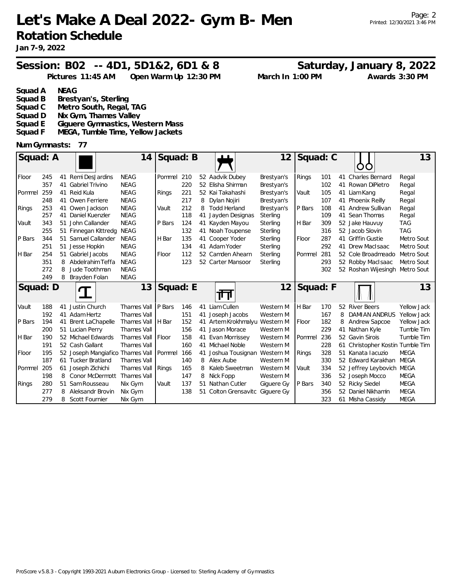**Let's Make A Deal 2022- Gym B- Men Rotation Schedule**

## Session: B02 -- 4D1, 5D1&2, 6D1 & 8 Saturday, January 8, 2022

**Pictures 11:45 AM March In 1:00 PM Open Warm Up 12:30 PM Awards 3:30 PM**

**Squad A NEAG**

- **Squad B Brestyan's, Sterling**
- **Metro South, Regal, TAG**
- **Squad D Nix Gym, Thames Valley**
- **Squad E Giguere Gymnastics, Western Mass**
- **Squad F MEGA, Tumble Time, Yellow Jackets**

### **Num Gymnasts: 77**

| Squad: A |     |    |                        | 14          | Squad: B |     |    |                   | 12         | Squad: C |     |    |                                  | 13          |
|----------|-----|----|------------------------|-------------|----------|-----|----|-------------------|------------|----------|-----|----|----------------------------------|-------------|
| Floor    | 245 | 41 | Remi DesJardins        | NEAG        | Pommel   | 210 |    | 52 Aadvik Dubey   | Brestyan's | Rings    | 101 |    | 41 Charles Bernard               | Regal       |
|          | 357 | 41 | <b>Gabriel Trivino</b> | <b>NEAG</b> |          | 220 | 52 | Elisha Shirman    | Brestyan's |          | 102 | 41 | Rowan DiPietro                   | Regal       |
| Pommel   | 259 |    | 41 Reid Kula           | <b>NEAG</b> | Rings    | 221 |    | 52 Kai Takahashi  | Brestyan's | Vault    | 105 |    | 41 Liam Kang                     | Regal       |
|          | 248 | 41 | Owen Ferriere          | <b>NEAG</b> |          | 217 | 8  | Dylan Nojiri      | Brestyan's |          | 107 |    | 41 Phoenix Reilly                | Regal       |
| Rings    | 253 | 41 | Owen Jackson           | <b>NEAG</b> | Vault    | 212 | 8  | Todd Herland      | Brestyan's | P Bars   | 108 |    | 41 Andrew Sullivan               | Regal       |
|          | 257 |    | 41 Daniel Kuenzler     | <b>NEAG</b> |          | 118 | 41 | Jayden Designas   | Sterling   |          | 109 |    | 41 Sean Thomas                   | Regal       |
| Vault    | 343 |    | 51 John Callander      | <b>NEAG</b> | P Bars   | 124 | 41 | Kayden Mayou      | Sterling   | H Bar    | 309 |    | 52 Jake Hauvuy                   | <b>TAG</b>  |
|          | 255 |    | 51 Finnegan Kittredg   | NEAG        |          | 132 | 41 | Noah Toupense     | Sterling   |          | 316 |    | 52 Jacob Slovin                  | <b>TAG</b>  |
| P Bars   | 344 |    | 51 Samuel Callander    | <b>NEAG</b> | H Bar    | 135 | 41 | Cooper Yoder      | Sterling   | Floor    | 287 |    | 41 Griffin Gustie                | Metro Sout  |
|          | 251 | 51 | Jesse Hopkin           | <b>NEAG</b> |          | 134 |    | 41 Adam Yoder     | Sterling   |          | 292 |    | 41 Drew MacIsaac                 | Metro Sout  |
| H Bar    | 254 | 51 | Gabriel Jacobs         | <b>NEAG</b> | Floor    | 112 |    | 52 Camden Ahearn  | Sterling   | Pommel   | 281 |    | 52 Cole Broadmeado               | Metro Sout  |
|          | 351 | 8  | Abdelrahim Teffa       | <b>NEAG</b> |          | 123 |    | 52 Carter Mansoor | Sterling   |          | 293 |    | 52 Robby MacIsaac                | Metro Sout  |
|          | 272 | 8  | Jude Toothman          | <b>NEAG</b> |          |     |    |                   |            |          | 302 |    | 52 Roshan Wijesingh              | Metro Sout  |
|          | 249 | 8  | Brayden Folan          | <b>NEAG</b> |          |     |    |                   |            |          |     |    |                                  |             |
|          |     |    |                        |             |          |     |    |                   |            |          |     |    |                                  |             |
| Squad: D |     |    |                        | 13          | Squad: E |     |    | ना                | 12         | Squad: F |     |    |                                  | 13          |
| Vault    | 188 | 41 | Justin Church          | Thames Vall | P Bars   | 146 | 41 | Liam Cullen       | Western M  | H Bar    | 170 |    | 52 River Beers                   | Yellow Jack |
|          | 192 |    | 41 Adam Hertz          | Thames Vall |          | 151 | 41 | Joseph Jacobs     | Western M  |          | 167 | 8  | <b>DAMIAN ANDRUS</b>             | Yellow Jack |
| P Bars   | 194 |    | 41 Brent LaChapelle    | Thames Vall | H Bar    | 152 | 41 | Artem Krokhmalyu  | Western M  | Floor    | 182 | 8  | Andrew Sapcoe                    | Yellow Jack |
|          | 200 |    | 51 Lucian Perry        | Thames Vall |          | 156 | 41 | Jason Morace      | Western M  |          | 229 | 41 | Nathan Kyle                      | Tumble Tim  |
| H Bar    | 190 |    | 52 Michael Edwards     | Thames Vall | Floor    | 158 | 41 | Evan Morrissey    | Western M  | Pommel   | 236 |    | 52 Gavin Sirois                  | Tumble Tim  |
|          | 191 |    | 52 Cash Gallant        | Thames Vall |          | 160 | 41 | Michael Noble     | Western M  |          | 228 |    | 61 Christopher Kostin Tumble Tim |             |
| Floor    | 195 |    | 52 Joseph Mangiafico   | Thames Vall | Pommel   | 166 | 41 | Joshua Tousignan  | Western M  | Rings    | 328 |    | 51 Kanata Jacuzio                | <b>MEGA</b> |
|          | 187 |    | 61 Tucker Bratland     | Thames Vall |          | 140 | 8  | Alex Aube         | Western M  |          | 330 |    | 52 Edward Karakhan               | <b>MEGA</b> |
| Pommel   | 205 | 61 | Joseph Zichichi        | Thames Vall | Rings    | 165 | 8  | Kaleb Sweetman    | Western M  | Vault    | 334 |    | 52 Jeffrey Leybovich             | MEGA        |
|          | 198 | 8  | <b>Conor McDermott</b> | Thames Vall |          | 147 | 8  | Nick Fopp         | Western M  |          | 336 |    | 52 Joseph Mocco                  | <b>MEGA</b> |
| Rings    | 280 |    | 51 Sam Rousseau        | Nix Gym     | Vault    | 137 | 51 | Nathan Cutler     | Giguere Gy | P Bars   | 340 |    | 52 Ricky Siedel                  | <b>MEGA</b> |
|          | 277 | 8  | Aleksandr Brovin       | Nix Gym     |          | 138 | 51 | Colton Grensavitc | Giguere Gy |          | 356 |    | 52 Daniel Nikhamin               | <b>MEGA</b> |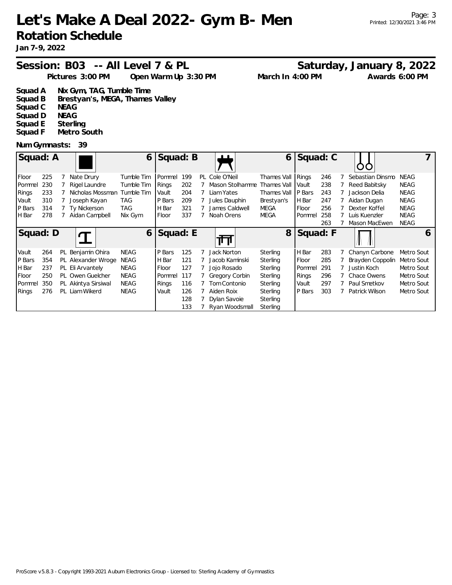# **Let's Make A Deal 2022- Gym B- Men Rotation Schedule**

**Jan 7-9, 2022**

# Session: B03 -- All Level 7 & PL Saturday, January 8, 2022

**Pictures 3:00 PM March In 4:00 PM Open Warm Up 3:30 PM Awards 6:00 PM**

- **Squad A Nix Gym, TAG, Tumble Time** Brestyan's, MEGA, Thames Valley **Squad C NEAG Squad D NEAG**
- **Squad E Sterling Metro South**

### **Num Gymnasts: 39**

| Squad: A     |     |                     | 6           | Squad: B |     | $\blacksquare$  | 6           | Squad: C |     |                  |             |   |
|--------------|-----|---------------------|-------------|----------|-----|-----------------|-------------|----------|-----|------------------|-------------|---|
| Floor        | 225 | Nate Drury          | Tumble Tim  | Pommel   | 199 | PL Cole O'Neil  | Thames Vall | Rings    | 246 | Sebastian Dinsmo | <b>NEAG</b> |   |
| Pommel       | 230 | Rigel Laundre       | Tumble Tim  | Rings    | 202 | Mason Stolhamme | Thames Vall | Vault    | 238 | Reed Babitsky    | NEAG        |   |
| Rings        | 233 | Nicholas Mossman    | Tumble Tim  | Vault    | 204 | Liam Yates      | Thames Vall | P Bars   | 243 | Jackson Delia    | NEAG        |   |
| Vault        | 310 | Joseph Kayan        | TAG         | P Bars   | 209 | Jules Dauphin   | Brestyan's  | H Bar    | 247 | Aidan Dugan      | NEAG        |   |
| P Bars       | 314 | Ty Nickerson        | <b>TAG</b>  | H Bar    | 321 | James Caldwell  | <b>MEGA</b> | Floor    | 256 | Dexter Koffel    | <b>NEAG</b> |   |
| <b>H</b> Bar | 278 | Aidan Campbell      | Nix Gym     | Floor    | 337 | Noah Orens      | MEGA        | Pommel   | 258 | Luis Kuenzler    | NEAG        |   |
|              |     |                     |             |          |     |                 |             |          | 263 | Mason MacEwen    | <b>NEAG</b> |   |
| Squad: D     |     |                     | 6           | Squad: E |     |                 | 8           | Squad: F |     |                  |             | 6 |
| Vault        | 264 | PL Benjamin Ohira   | NEAG        | P Bars   | 125 | Jack Norton     | Sterling    | H Bar    | 283 | Chanyn Carbone   | Metro Sout  |   |
| P Bars       | 354 | PL Alexander Wroge  | NEAG        | H Bar    | 121 | Jacob Kaminski  | Sterling    | Floor    | 285 | Brayden Coppolin | Metro Sout  |   |
| H Bar        | 237 | PL Eli Arvantely    | NEAG        | Floor    | 127 | Jojo Rosado     | Sterling    | Pommel   | 291 | Justin Koch      | Metro Sout  |   |
| Floor        | 250 | PL Owen Guelcher    | <b>NEAG</b> | Pommel   | 117 | Gregory Corbin  | Sterling    | Rings    | 296 | Chace Owens      | Metro Sout  |   |
| Pommel       | 350 | PL Akintya Sirsiwal | NEAG        | Rings    | 116 | Tom Contonio    | Sterling    | Vault    | 297 | Paul Smetkov     | Metro Sout  |   |
| Rings        | 276 | PL Liam Wikerd      | NEAG        | Vault    | 126 | Aiden Roix      | Sterling    | P Bars   | 303 | Patrick Wilson   | Metro Sout  |   |
|              |     |                     |             |          | 128 | Dylan Savoie    | Sterling    |          |     |                  |             |   |
|              |     |                     |             |          | 133 | Ryan Woodsmall  | Sterling    |          |     |                  |             |   |